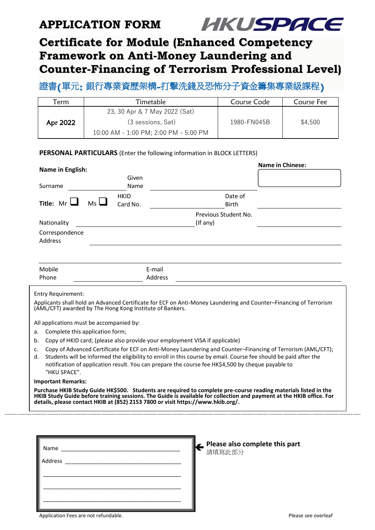## **APPLICATION FORM**



# **Certificate for Module (Enhanced Competency Framework on Anti-Money Laundering and Counter-Financing of Terrorism Professional Level)**

## 證書**(**單元**:** 銀行專業資歷架構**-**打擊洗錢及恐怖分子資金籌集專業級課程**)**

| Ferm     | Timetable                             | Course Code | Course Fee |  |
|----------|---------------------------------------|-------------|------------|--|
| Apr 2022 | 23, 30 Apr & 7 May 2022 (Sat)         |             |            |  |
|          | (3 sessions, Sat)                     | 1980-FN045B | \$4,500    |  |
|          | 10:00 AM - 1:00 PM; 2:00 PM - 5:00 PM |             |            |  |

### **PERSONAL PARTICULARS** (Enter the following information in BLOCK LETTERS)

| Name in English:                                                                                                                                                                                                                                                                                                           |                  |                           |                                                                                                                                                                                                                                                                                                                                      |             |                                                                                                                                                                               | Name in Chinese: |  |  |
|----------------------------------------------------------------------------------------------------------------------------------------------------------------------------------------------------------------------------------------------------------------------------------------------------------------------------|------------------|---------------------------|--------------------------------------------------------------------------------------------------------------------------------------------------------------------------------------------------------------------------------------------------------------------------------------------------------------------------------------|-------------|-------------------------------------------------------------------------------------------------------------------------------------------------------------------------------|------------------|--|--|
|                                                                                                                                                                                                                                                                                                                            |                  |                           |                                                                                                                                                                                                                                                                                                                                      | Given       |                                                                                                                                                                               |                  |  |  |
|                                                                                                                                                                                                                                                                                                                            | Surname          |                           |                                                                                                                                                                                                                                                                                                                                      | Name        |                                                                                                                                                                               |                  |  |  |
|                                                                                                                                                                                                                                                                                                                            |                  |                           |                                                                                                                                                                                                                                                                                                                                      | <b>HKID</b> | Date of                                                                                                                                                                       |                  |  |  |
|                                                                                                                                                                                                                                                                                                                            | Title: $Mr \Box$ |                           | $M_S \Box$                                                                                                                                                                                                                                                                                                                           | Card No.    | <b>Birth</b>                                                                                                                                                                  |                  |  |  |
|                                                                                                                                                                                                                                                                                                                            |                  |                           |                                                                                                                                                                                                                                                                                                                                      |             | Previous Student No.                                                                                                                                                          |                  |  |  |
|                                                                                                                                                                                                                                                                                                                            | Nationality      |                           |                                                                                                                                                                                                                                                                                                                                      |             | $($ lf any $)$                                                                                                                                                                |                  |  |  |
|                                                                                                                                                                                                                                                                                                                            | Address          | Correspondence            |                                                                                                                                                                                                                                                                                                                                      |             |                                                                                                                                                                               |                  |  |  |
|                                                                                                                                                                                                                                                                                                                            |                  |                           |                                                                                                                                                                                                                                                                                                                                      |             |                                                                                                                                                                               |                  |  |  |
|                                                                                                                                                                                                                                                                                                                            | Mobile           |                           |                                                                                                                                                                                                                                                                                                                                      |             | E-mail                                                                                                                                                                        |                  |  |  |
| Phone                                                                                                                                                                                                                                                                                                                      |                  |                           |                                                                                                                                                                                                                                                                                                                                      |             | Address                                                                                                                                                                       |                  |  |  |
|                                                                                                                                                                                                                                                                                                                            |                  | <b>Entry Requirement:</b> |                                                                                                                                                                                                                                                                                                                                      |             |                                                                                                                                                                               |                  |  |  |
|                                                                                                                                                                                                                                                                                                                            |                  |                           |                                                                                                                                                                                                                                                                                                                                      |             | Applicants shall hold an Advanced Certificate for ECF on Anti-Money Laundering and Counter-Financing of Terrorism<br>(AML/CFT) awarded by The Hong Kong Institute of Bankers. |                  |  |  |
|                                                                                                                                                                                                                                                                                                                            |                  |                           | All applications must be accompanied by:                                                                                                                                                                                                                                                                                             |             |                                                                                                                                                                               |                  |  |  |
| a.                                                                                                                                                                                                                                                                                                                         |                  |                           | Complete this application form;                                                                                                                                                                                                                                                                                                      |             |                                                                                                                                                                               |                  |  |  |
| b.                                                                                                                                                                                                                                                                                                                         |                  |                           | Copy of HKID card; (please also provide your employment VISA if applicable)                                                                                                                                                                                                                                                          |             |                                                                                                                                                                               |                  |  |  |
| c.<br>d.                                                                                                                                                                                                                                                                                                                   |                  | "HKU SPACE".              | Copy of Advanced Certificate for ECF on Anti-Money Laundering and Counter-Financing of Terrorism (AML/CFT);<br>Students will be informed the eligibility to enroll in this course by email. Course fee should be paid after the<br>notification of application result. You can prepare the course fee HK\$4,500 by cheque payable to |             |                                                                                                                                                                               |                  |  |  |
|                                                                                                                                                                                                                                                                                                                            |                  | <b>Important Remarks:</b> |                                                                                                                                                                                                                                                                                                                                      |             |                                                                                                                                                                               |                  |  |  |
| Purchase HKIB Study Guide HK\$500. Students are required to complete pre-course reading materials listed in the<br>HKIB Study Guide before training sessions. The Guide is available for collection and payment at the HKIB office. For<br>details, please contact HKIB at (852) 2153 7800 or visit https://www.hkib.org/. |                  |                           |                                                                                                                                                                                                                                                                                                                                      |             |                                                                                                                                                                               |                  |  |  |
|                                                                                                                                                                                                                                                                                                                            |                  |                           |                                                                                                                                                                                                                                                                                                                                      |             |                                                                                                                                                                               |                  |  |  |

| Name |  |
|------|--|
|      |  |
|      |  |
|      |  |
|      |  |
|      |  |

**Please also complete this part** 請填寫此部分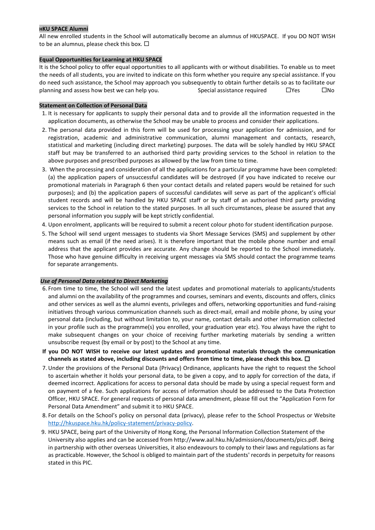#### **HKU SPACE Alumni**

All new enrolled students in the School will automatically become an alumnus of HKUSPACE. If you DO NOT WISH to be an alumnus, please check this box.  $\square$ 

#### **Equal Opportunities for Learning at HKU SPACE**

It is the School policy to offer equal opportunities to all applicants with or without disabilities. To enable us to meet the needs of all students, you are invited to indicate on this form whether you require any special assistance. If you do need such assistance, the School may approach you subsequently to obtain further details so as to facilitate our planning and assess how best we can help you. Special assistance required  $\square$  Yes  $\square$  No

#### **Statement on Collection of Personal Data**

- 1. It is necessary for applicants to supply their personal data and to provide all the information requested in the application documents, as otherwise the School may be unable to process and consider their applications.
- 2. The personal data provided in this form will be used for processing your application for admission, and for registration, academic and administrative communication, alumni management and contacts, research, statistical and marketing (including direct marketing) purposes. The data will be solely handled by HKU SPACE staff but may be transferred to an authorised third party providing services to the School in relation to the above purposes and prescribed purposes as allowed by the law from time to time.
- 3. When the processing and consideration of all the applications for a particular programme have been completed: (a) the application papers of unsuccessful candidates will be destroyed (if you have indicated to receive our promotional materials in Paragraph 6 then your contact details and related papers would be retained for such purposes); and (b) the application papers of successful candidates will serve as part of the applicant's official student records and will be handled by HKU SPACE staff or by staff of an authorised third party providing services to the School in relation to the stated purposes. In all such circumstances, please be assured that any personal information you supply will be kept strictly confidential.
- 4. Upon enrolment, applicants will be required to submit a recent colour photo for student identification purpose.
- 5. The School will send urgent messages to students via Short Message Services (SMS) and supplement by other means such as email (if the need arises). It is therefore important that the mobile phone number and email address that the applicant provides are accurate. Any change should be reported to the School immediately. Those who have genuine difficulty in receiving urgent messages via SMS should contact the programme teams for separate arrangements.

#### *Use of Personal Data related to Direct Marketing*

- 6. From time to time, the School will send the latest updates and promotional materials to applicants/students and alumni on the availability of the programmes and courses, seminars and events, discounts and offers, clinics and other services as well as the alumni events, privileges and offers, networking opportunities and fund-raising initiatives through various communication channels such as direct-mail, email and mobile phone, by using your personal data (including, but without limitation to, your name, contact details and other information collected in your profile such as the programme(s) you enrolled, your graduation year etc). You always have the right to make subsequent changes on your choice of receiving further marketing materials by sending a written unsubscribe request (by email or by post) to the School at any time.
- **If you DO NOT WISH to receive our latest updates and promotional materials through the communication channels as stated above, including discounts and offers from time to time, please check this box.**
- 7. Under the provisions of the Personal Data (Privacy) Ordinance, applicants have the right to request the School to ascertain whether it holds your personal data, to be given a copy, and to apply for correction of the data, if deemed incorrect. Applications for access to personal data should be made by using a special request form and on payment of a fee. Such applications for access of information should be addressed to the Data Protection Officer, HKU SPACE. For general requests of personal data amendment, please fill out the "Application Form for Personal Data Amendment" and submit it to HKU SPACE.
- 8. For details on the School's policy on personal data (privacy), please refer to the School Prospectus or Website [http://hkuspace.hku.hk/policy-statement/privacy-policy.](http://hkuspace.hku.hk/policy-statement/privacy-policy)
- 9. HKU SPACE, being part of the University of Hong Kong, the Personal Information Collection Statement of the University also applies and can be accessed from http://www.aal.hku.hk/admissions/documents/pics.pdf. Being in partnership with other overseas Universities, it also endeavours to comply to their laws and regulations as far as practicable. However, the School is obliged to maintain part of the students' records in perpetuity for reasons stated in this PIC.